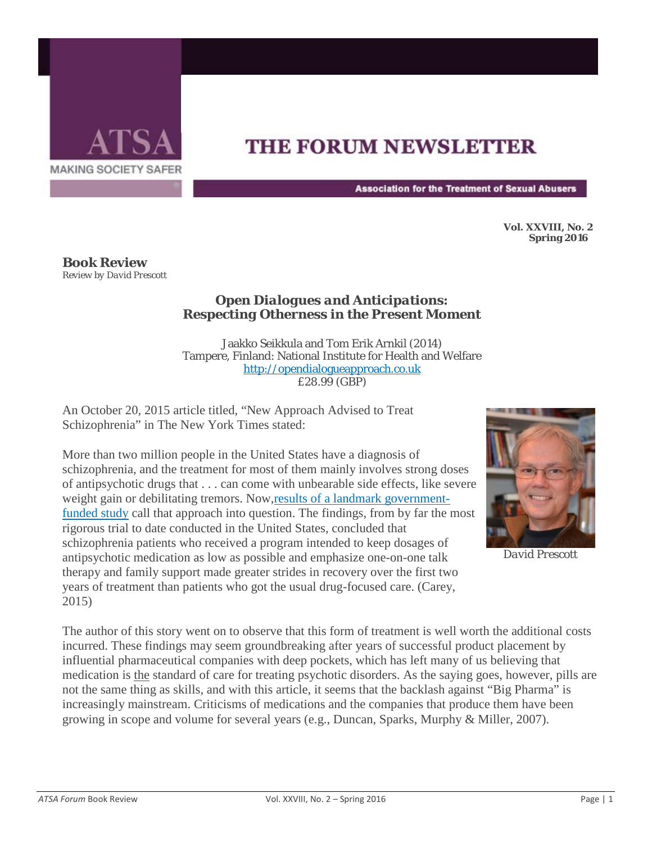

## **THE FORUM NEWSLETTER**

**Association for the Treatment of Sexual Abusers** 

**Vol. XXVIII, No. 2 Spring 2016** 

**Book Review** *Review by David Prescott*

## *Open Dialogues and Anticipations: Respecting Otherness in the Present Moment*

Jaakko Seikkula and Tom Erik Arnkil (2014) Tampere, Finland: National Institute for Health and Welfare [http://opendialogueapproach.co.uk](http://opendialogueapproach.co.uk/) £28.99 (GBP)

An October 20, 2015 article titled, "New Approach Advised to Treat Schizophrenia" in The New York Times stated:

More than two million people in the United States have a diagnosis of schizophrenia, and the treatment for most of them mainly involves strong doses of antipsychotic drugs that . . . can come with unbearable side effects, like severe weight gain or debilitating tremors. Now, results of a landmark government[funded study](http://newsmanager.commpartners.com/linktrack.php?url=http%3A%2F%2Fajp.psychiatryonline.org%2Fdoi%2Ffull%2F10.1176%2Fappi.ajp.2015.15050632) call that approach into question. The findings, from by far the most rigorous trial to date conducted in the United States, concluded that schizophrenia patients who received a program intended to keep dosages of antipsychotic medication as low as possible and emphasize one-on-one talk therapy and family support made greater strides in recovery over the first two years of treatment than patients who got the usual drug-focused care. (Carey, 2015)



*David Prescott*

The author of this story went on to observe that this form of treatment is well worth the additional costs incurred. These findings may seem groundbreaking after years of successful product placement by influential pharmaceutical companies with deep pockets, which has left many of us believing that medication is the standard of care for treating psychotic disorders. As the saying goes, however, pills are not the same thing as skills, and with this article, it seems that the backlash against "Big Pharma" is increasingly mainstream. Criticisms of medications and the companies that produce them have been growing in scope and volume for several years (e.g., Duncan, Sparks, Murphy & Miller, 2007).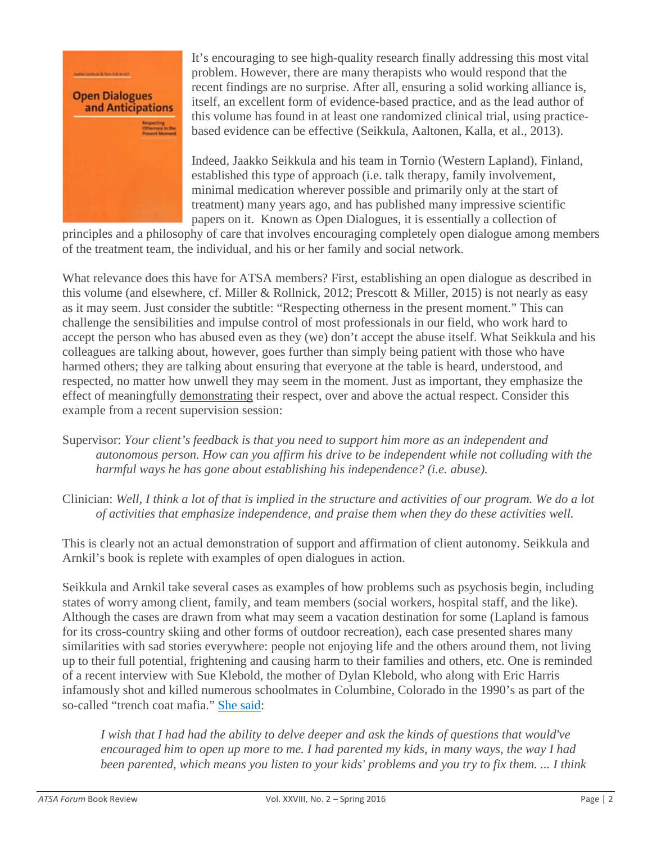

It's encouraging to see high-quality research finally addressing this most vital problem. However, there are many therapists who would respond that the recent findings are no surprise. After all, ensuring a solid working alliance is, itself, an excellent form of evidence-based practice, and as the lead author of this volume has found in at least one randomized clinical trial, using practicebased evidence can be effective (Seikkula, Aaltonen, Kalla, et al., 2013).

Indeed, Jaakko Seikkula and his team in Tornio (Western Lapland), Finland, established this type of approach (i.e. talk therapy, family involvement, minimal medication wherever possible and primarily only at the start of treatment) many years ago, and has published many impressive scientific papers on it. Known as Open Dialogues, it is essentially a collection of

principles and a philosophy of care that involves encouraging completely open dialogue among members of the treatment team, the individual, and his or her family and social network.

What relevance does this have for ATSA members? First, establishing an open dialogue as described in this volume (and elsewhere, cf. Miller & Rollnick, 2012; Prescott & Miller, 2015) is not nearly as easy as it may seem. Just consider the subtitle: "Respecting otherness in the present moment." This can challenge the sensibilities and impulse control of most professionals in our field, who work hard to accept the person who has abused even as they (we) don't accept the abuse itself. What Seikkula and his colleagues are talking about, however, goes further than simply being patient with those who have harmed others; they are talking about ensuring that everyone at the table is heard, understood, and respected, no matter how unwell they may seem in the moment. Just as important, they emphasize the effect of meaningfully demonstrating their respect, over and above the actual respect. Consider this example from a recent supervision session:

- Supervisor: *Your client's feedback is that you need to support him more as an independent and autonomous person. How can you affirm his drive to be independent while not colluding with the harmful ways he has gone about establishing his independence? (i.e. abuse).*
- Clinician: *Well, I think a lot of that is implied in the structure and activities of our program. We do a lot of activities that emphasize independence, and praise them when they do these activities well.*

This is clearly not an actual demonstration of support and affirmation of client autonomy. Seikkula and Arnkil's book is replete with examples of open dialogues in action.

Seikkula and Arnkil take several cases as examples of how problems such as psychosis begin, including states of worry among client, family, and team members (social workers, hospital staff, and the like). Although the cases are drawn from what may seem a vacation destination for some (Lapland is famous for its cross-country skiing and other forms of outdoor recreation), each case presented shares many similarities with sad stories everywhere: people not enjoying life and the others around them, not living up to their full potential, frightening and causing harm to their families and others, etc. One is reminded of a recent interview with Sue Klebold, the mother of Dylan Klebold, who along with Eric Harris infamously shot and killed numerous schoolmates in Columbine, Colorado in the 1990's as part of the so-called "trench coat mafia." [She said:](http://newsmanager.commpartners.com/linktrack.php?url=http%3A%2F%2Fwww.npr.org%2F2016%2F02%2F16%2F466618817%2Fsue-klebold-mother-of-columbine-shooter-carries-him-everywhere-i-go-always)

*I wish that I had had the ability to delve deeper and ask the kinds of questions that would've encouraged him to open up more to me. I had parented my kids, in many ways, the way I had been parented, which means you listen to your kids' problems and you try to fix them. ... I think*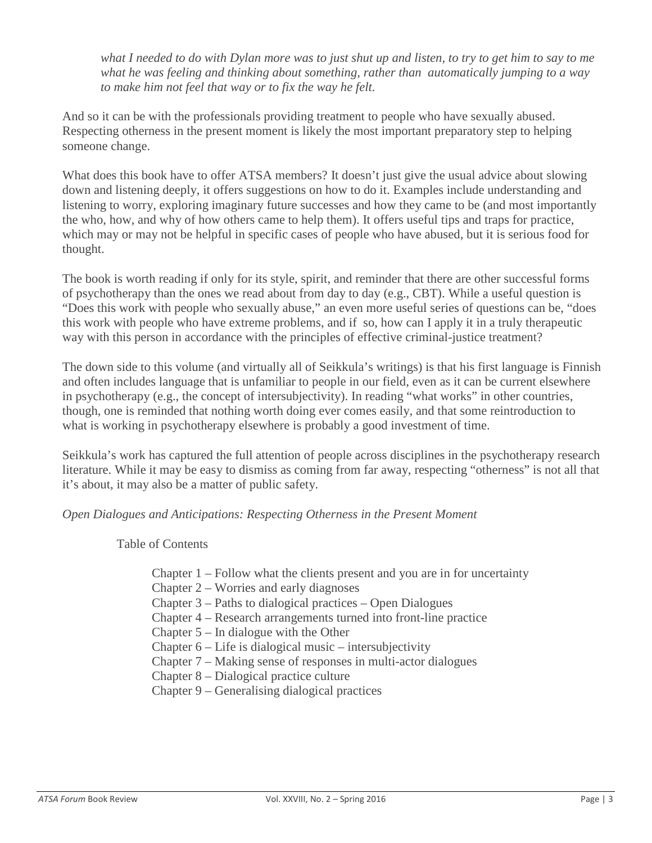*what I needed to do with Dylan more was to just shut up and listen, to try to get him to say to me what he was feeling and thinking about something, rather than automatically jumping to a way to make him not feel that way or to fix the way he felt.*

And so it can be with the professionals providing treatment to people who have sexually abused. Respecting otherness in the present moment is likely the most important preparatory step to helping someone change.

What does this book have to offer ATSA members? It doesn't just give the usual advice about slowing down and listening deeply, it offers suggestions on how to do it. Examples include understanding and listening to worry, exploring imaginary future successes and how they came to be (and most importantly the who, how, and why of how others came to help them). It offers useful tips and traps for practice, which may or may not be helpful in specific cases of people who have abused, but it is serious food for thought.

The book is worth reading if only for its style, spirit, and reminder that there are other successful forms of psychotherapy than the ones we read about from day to day (e.g., CBT). While a useful question is "Does this work with people who sexually abuse," an even more useful series of questions can be, "does this work with people who have extreme problems, and if so, how can I apply it in a truly therapeutic way with this person in accordance with the principles of effective criminal-justice treatment?

The down side to this volume (and virtually all of Seikkula's writings) is that his first language is Finnish and often includes language that is unfamiliar to people in our field, even as it can be current elsewhere in psychotherapy (e.g., the concept of intersubjectivity). In reading "what works" in other countries, though, one is reminded that nothing worth doing ever comes easily, and that some reintroduction to what is working in psychotherapy elsewhere is probably a good investment of time.

Seikkula's work has captured the full attention of people across disciplines in the psychotherapy research literature. While it may be easy to dismiss as coming from far away, respecting "otherness" is not all that it's about, it may also be a matter of public safety.

*Open Dialogues and Anticipations: Respecting Otherness in the Present Moment*

Table of Contents

- Chapter 1 Follow what the clients present and you are in for uncertainty
- Chapter 2 Worries and early diagnoses
- Chapter 3 Paths to dialogical practices Open Dialogues
- Chapter 4 Research arrangements turned into front-line practice
- Chapter 5 In dialogue with the Other
- Chapter 6 Life is dialogical music intersubjectivity
- Chapter 7 Making sense of responses in multi-actor dialogues
- Chapter 8 Dialogical practice culture
- Chapter 9 Generalising dialogical practices